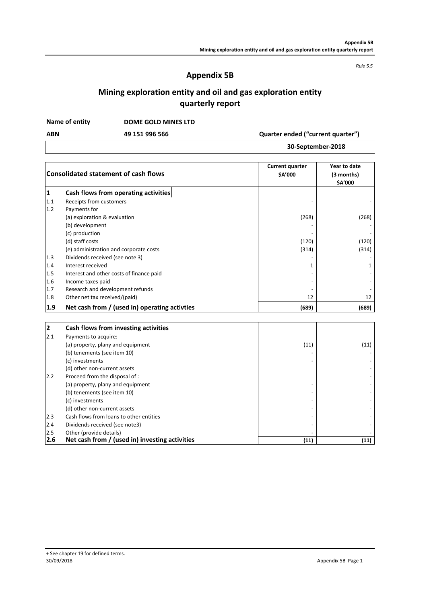*Rule 5.5*

## **Appendix 5B**

# **Mining exploration entity and oil and gas exploration entity quarterly report**

**DOME GOLD MINES LTD Name of entity**

| <b>ABN</b> | 49 151 996 566 | Quarter ended ("current quarter") |
|------------|----------------|-----------------------------------|
|            |                | 30-September-2018                 |

|     | <b>Consolidated statement of cash flows</b>   | <b>Current quarter</b><br><b>SA'000</b> | Year to date<br>(3 months)<br>\$A'000 |
|-----|-----------------------------------------------|-----------------------------------------|---------------------------------------|
| 1   | Cash flows from operating activities          |                                         |                                       |
| 1.1 | Receipts from customers                       |                                         |                                       |
| 1.2 | Payments for                                  |                                         |                                       |
|     | (a) exploration & evaluation                  | (268)                                   | (268)                                 |
|     | (b) development                               |                                         |                                       |
|     | (c) production                                |                                         |                                       |
|     | (d) staff costs                               | (120)                                   | (120)                                 |
|     | (e) administration and corporate costs        | (314)                                   | (314)                                 |
| 1.3 | Dividends received (see note 3)               |                                         |                                       |
| 1.4 | Interest received                             |                                         |                                       |
| 1.5 | Interest and other costs of finance paid      |                                         |                                       |
| 1.6 | Income taxes paid                             |                                         |                                       |
| 1.7 | Research and development refunds              |                                         |                                       |
| 1.8 | Other net tax received/(paid)                 | 12                                      | 12                                    |
| 1.9 | Net cash from / (used in) operating activties | (689)                                   | (689)                                 |

| 2   | Cash flows from investing activities           |      |      |
|-----|------------------------------------------------|------|------|
| 2.1 | Payments to acquire:                           |      |      |
|     | (a) property, plany and equipment              | (11) | (11) |
|     | (b) tenements (see item 10)                    |      |      |
|     | (c) investments                                |      |      |
|     | (d) other non-current assets                   |      |      |
| 2.2 | Proceed from the disposal of :                 |      |      |
|     | (a) property, plany and equipment              |      |      |
|     | (b) tenements (see item 10)                    |      |      |
|     | (c) investments                                |      |      |
|     | (d) other non-current assets                   |      |      |
| 2.3 | Cash flows from loans to other entities        |      |      |
| 2.4 | Dividends received (see note3)                 |      |      |
| 2.5 | Other (provide details)                        |      |      |
| 2.6 | Net cash from / (used in) investing activities | (11) | (11) |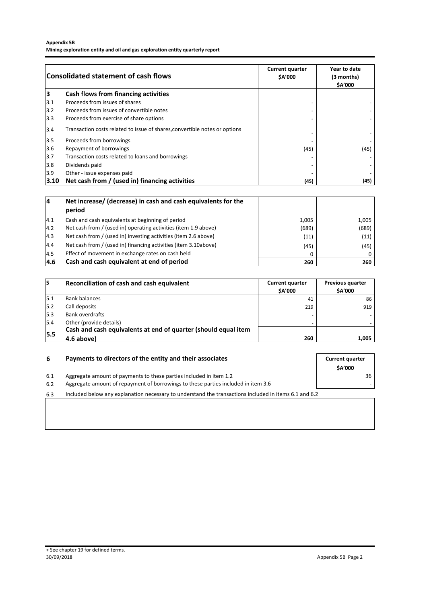### **Appendix 5B**

**Mining exploration entity and oil and gas exploration entity quarterly report**

| <b>Consolidated statement of cash flows</b> |                                                                            | <b>Current quarter</b><br><b>SA'000</b> | Year to date<br>(3 months)<br><b>SA'000</b> |
|---------------------------------------------|----------------------------------------------------------------------------|-----------------------------------------|---------------------------------------------|
| 3                                           | Cash flows from financing activities                                       |                                         |                                             |
| 3.1                                         | Proceeds from issues of shares                                             |                                         |                                             |
| $3.2$                                       | Proceeds from issues of convertible notes                                  |                                         |                                             |
| 3.3                                         | Proceeds from exercise of share options                                    |                                         |                                             |
| 3.4                                         | Transaction costs related to issue of shares, convertible notes or options |                                         |                                             |
| $3.5$                                       | Proceeds from borrowings                                                   |                                         |                                             |
| 3.6                                         | Repayment of borrowings                                                    | (45)                                    | (45)                                        |
| $3.7$                                       | Transaction costs related to loans and borrowings                          |                                         |                                             |
| 3.8                                         | Dividends paid                                                             |                                         |                                             |
| 3.9                                         | Other - issue expenses paid                                                |                                         |                                             |
| 3.10                                        | Net cash from / (used in) financing activities                             | (45)                                    | (45)                                        |

| 4    | Net increase/ (decrease) in cash and cash equivalents for the   |       |       |
|------|-----------------------------------------------------------------|-------|-------|
|      | period                                                          |       |       |
| 4.1  | Cash and cash equivalents at beginning of period                | 1.005 | 1,005 |
| 14.2 | Net cash from / (used in) operating activities (item 1.9 above) | (689) | (689) |
| 14.3 | Net cash from / (used in) investing activities (item 2.6 above) | (11)  | (11)  |
| 4.4  | Net cash from / (used in) financing activities (item 3.10above) | (45)  | (45)  |
| 14.5 | Effect of movement in exchange rates on cash held               | 0     | 0     |
| 4.6  | Cash and cash equivalent at end of period                       | 260   | 260   |

| 15  | Reconciliation of cash and cash equivalent                     | <b>Current quarter</b><br><b>SA'000</b> | <b>Previous quarter</b><br><b>SA'000</b> |
|-----|----------------------------------------------------------------|-----------------------------------------|------------------------------------------|
| 5.1 | <b>Bank balances</b>                                           | 41                                      | 86                                       |
| 5.2 | Call deposits                                                  | 219                                     | 919                                      |
| 5.3 | Bank overdrafts                                                |                                         |                                          |
| 5.4 | Other (provide details)                                        |                                         |                                          |
|     | Cash and cash equivalents at end of quarter (should equal item |                                         |                                          |
| 5.5 | 4.6 above)                                                     | 260                                     | 1,005                                    |

| Payments to directors of the entity and their associates<br>-6                                        |               |
|-------------------------------------------------------------------------------------------------------|---------------|
|                                                                                                       | <b>SA'000</b> |
| Aggregate amount of payments to these parties included in item 1.2                                    | 36            |
| Aggregate amount of repayment of borrowings to these parties included in item 3.6                     |               |
| Included below any explanation necessary to understand the transactions included in items 6.1 and 6.2 |               |
|                                                                                                       |               |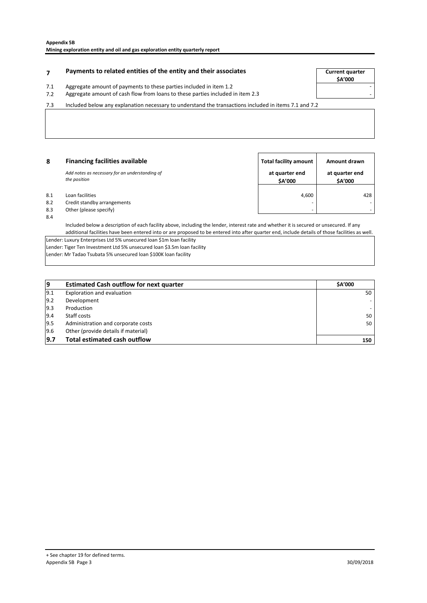## **Payments to related entities of the entity and their associates The Source of Current quarter**

7.1 Aggregate amount of payments to these parties included in item 1.2

7.2 - Aggregate amount of cash flow from loans to these parties included in item 2.3

7.3 Included below any explanation necessary to understand the transactions included in items 7.1 and 7.2

| 8   | <b>Financing facilities available</b>                          | <b>Total facility amount</b>    | Amount drawn              |
|-----|----------------------------------------------------------------|---------------------------------|---------------------------|
|     | Add notes as necessary for an understanding of<br>the position | at quarter end<br><b>SA'000</b> | at quarter end<br>\$A'000 |
| 8.1 | Loan facilities                                                | 4,600                           | 428                       |
| 8.2 | Credit standby arrangements                                    | $\overline{\phantom{0}}$        |                           |
| 8.3 | Other (please specify)                                         | -                               |                           |

8.4

Included below a description of each facility above, including the lender, interest rate and whether it is secured or unsecured. If any additional facilities have been entered into or are proposed to be entered into after quarter end, include details of those facilities as well.

Lender: Luxury Enterprises Ltd 5% unsecured loan \$1m loan facility

Lender: Tiger Ten Investment Ltd 5% unsecured loan \$3.5m loan facility Lender: Mr Tadao Tsubata 5% unsecured loan \$100K loan facility

| و             | <b>Estimated Cash outflow for next quarter</b> | <b>SA'000</b>            |
|---------------|------------------------------------------------|--------------------------|
| 9.1           | Exploration and evaluation                     | 50                       |
| $ 9.2\rangle$ | Development                                    |                          |
| $ 9.3\rangle$ | Production                                     | $\overline{\phantom{a}}$ |
| 9.4           | Staff costs                                    | 50                       |
| 9.5           | Administration and corporate costs             | 50                       |
| 9.6           | Other (provide details if material)            |                          |
| 9.7           | <b>Total estimated cash outflow</b>            | 150                      |

**\$A'000**